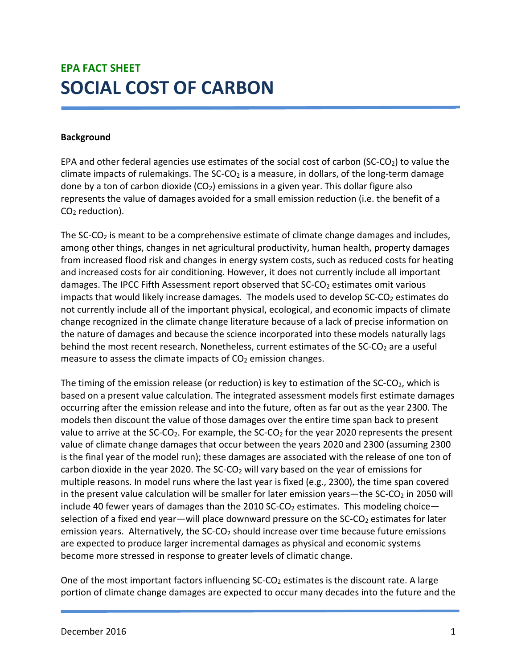# EPA FACT SHEET SOCIAL COST OF CARBON

# Background

EPA and other federal agencies use estimates of the social cost of carbon (SC-CO<sub>2</sub>) to value the climate impacts of rulemakings. The SC-CO<sub>2</sub> is a measure, in dollars, of the long-term damage done by a ton of carbon dioxide  $(CO<sub>2</sub>)$  emissions in a given year. This dollar figure also represents the value of damages avoided for a small emission reduction (i.e. the benefit of a  $CO<sub>2</sub>$  reduction).

The  $SC\text{-}CO<sub>2</sub>$  is meant to be a comprehensive estimate of climate change damages and includes, among other things, changes in net agricultural productivity, human health, property damages from increased flood risk and changes in energy system costs, such as reduced costs for heating and increased costs for air conditioning. However, it does not currently include all important damages. The IPCC Fifth Assessment report observed that  $SC-CO<sub>2</sub>$  estimates omit various impacts that would likely increase damages. The models used to develop  $SC\text{-}CO<sub>2</sub>$  estimates do not currently include all of the important physical, ecological, and economic impacts of climate change recognized in the climate change literature because of a lack of precise information on the nature of damages and because the science incorporated into these models naturally lags behind the most recent research. Nonetheless, current estimates of the SC-CO<sub>2</sub> are a useful measure to assess the climate impacts of  $CO<sub>2</sub>$  emission changes.

The timing of the emission release (or reduction) is key to estimation of the  $SC\text{-}CO<sub>2</sub>$ , which is based on a present value calculation. The integrated assessment models first estimate damages occurring after the emission release and into the future, often as far out as the year 2300. The models then discount the value of those damages over the entire time span back to present value to arrive at the SC-CO<sub>2</sub>. For example, the SC-CO<sub>2</sub> for the year 2020 represents the present value of climate change damages that occur between the years 2020 and 2300 (assuming 2300 is the final year of the model run); these damages are associated with the release of one ton of carbon dioxide in the year 2020. The  $SC-CO<sub>2</sub>$  will vary based on the year of emissions for multiple reasons. In model runs where the last year is fixed (e.g., 2300), the time span covered in the present value calculation will be smaller for later emission years—the  $SCCO<sub>2</sub>$  in 2050 will include 40 fewer years of damages than the 2010 SC-CO<sub>2</sub> estimates. This modeling choice selection of a fixed end year—will place downward pressure on the SC-CO<sub>2</sub> estimates for later emission years. Alternatively, the SC-CO<sub>2</sub> should increase over time because future emissions are expected to produce larger incremental damages as physical and economic systems become more stressed in response to greater levels of climatic change.

One of the most important factors influencing  $SC$ - $CO<sub>2</sub>$  estimates is the discount rate. A large portion of climate change damages are expected to occur many decades into the future and the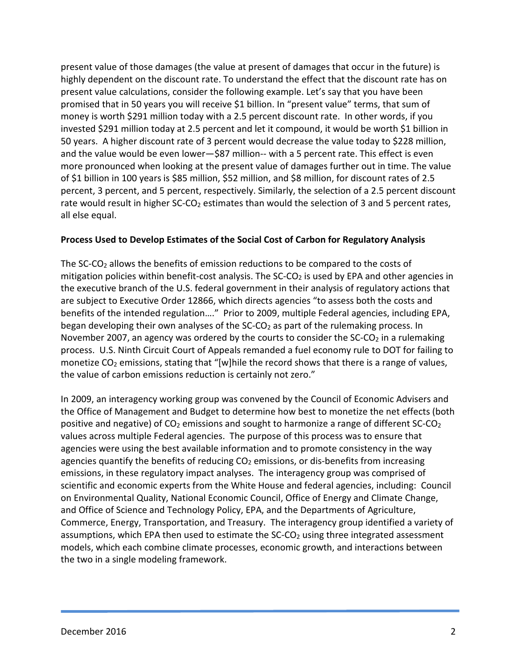present value of those damages (the value at present of damages that occur in the future) is highly dependent on the discount rate. To understand the effect that the discount rate has on present value calculations, consider the following example. Let's say that you have been promised that in 50 years you will receive \$1 billion. In "present value" terms, that sum of money is worth \$291 million today with a 2.5 percent discount rate. In other words, if you invested \$291 million today at 2.5 percent and let it compound, it would be worth \$1 billion in 50 years. A higher discount rate of 3 percent would decrease the value today to \$228 million, and the value would be even lower—\$87 million-- with a 5 percent rate. This effect is even more pronounced when looking at the present value of damages further out in time. The value of \$1 billion in 100 years is \$85 million, \$52 million, and \$8 million, for discount rates of 2.5 percent, 3 percent, and 5 percent, respectively. Similarly, the selection of a 2.5 percent discount rate would result in higher SC-CO<sub>2</sub> estimates than would the selection of 3 and 5 percent rates, all else equal.

# Process Used to Develop Estimates of the Social Cost of Carbon for Regulatory Analysis

The SC-CO2 allows the benefits of emission reductions to be compared to the costs of mitigation policies within benefit-cost analysis. The  $SC\text{-}CO<sub>2</sub>$  is used by EPA and other agencies in the executive branch of the U.S. federal government in their analysis of regulatory actions that are subject to Executive Order 12866, which directs agencies "to assess both the costs and benefits of the intended regulation…." Prior to 2009, multiple Federal agencies, including EPA, began developing their own analyses of the  $SC\text{-}CO<sub>2</sub>$  as part of the rulemaking process. In November 2007, an agency was ordered by the courts to consider the  $SC\text{-}CO<sub>2</sub>$  in a rulemaking process. U.S. Ninth Circuit Court of Appeals remanded a fuel economy rule to DOT for failing to monetize  $CO<sub>2</sub>$  emissions, stating that "[w]hile the record shows that there is a range of values, the value of carbon emissions reduction is certainly not zero."

In 2009, an interagency working group was convened by the Council of Economic Advisers and the Office of Management and Budget to determine how best to monetize the net effects (both positive and negative) of  $CO<sub>2</sub>$  emissions and sought to harmonize a range of different SC-CO<sub>2</sub> values across multiple Federal agencies. The purpose of this process was to ensure that agencies were using the best available information and to promote consistency in the way agencies quantify the benefits of reducing  $CO<sub>2</sub>$  emissions, or dis-benefits from increasing emissions, in these regulatory impact analyses. The interagency group was comprised of scientific and economic experts from the White House and federal agencies, including: Council on Environmental Quality, National Economic Council, Office of Energy and Climate Change, and Office of Science and Technology Policy, EPA, and the Departments of Agriculture, Commerce, Energy, Transportation, and Treasury. The interagency group identified a variety of assumptions, which EPA then used to estimate the  $SC\text{-}CO<sub>2</sub>$  using three integrated assessment models, which each combine climate processes, economic growth, and interactions between the two in a single modeling framework.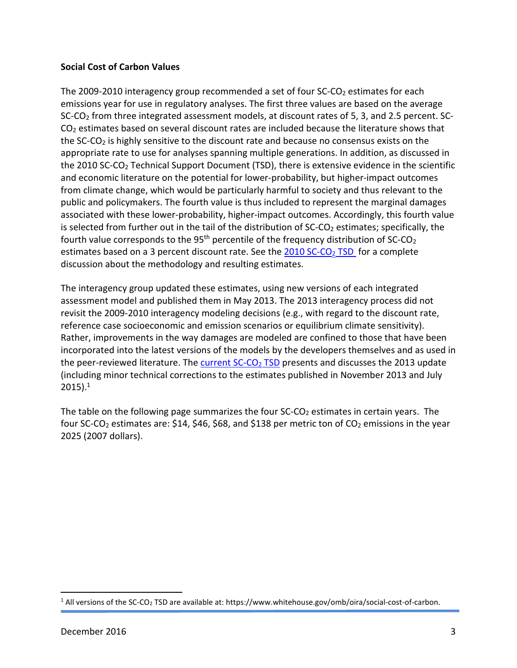# Social Cost of Carbon Values

The 2009-2010 interagency group recommended a set of four  $SC$ - $CO<sub>2</sub>$  estimates for each emissions year for use in regulatory analyses. The first three values are based on the average SC-CO2 from three integrated assessment models, at discount rates of 5, 3, and 2.5 percent. SC-CO2 estimates based on several discount rates are included because the literature shows that the SC-CO<sub>2</sub> is highly sensitive to the discount rate and because no consensus exists on the appropriate rate to use for analyses spanning multiple generations. In addition, as discussed in the 2010 SC-CO<sub>2</sub> Technical Support Document (TSD), there is extensive evidence in the scientific and economic literature on the potential for lower-probability, but higher-impact outcomes from climate change, which would be particularly harmful to society and thus relevant to the public and policymakers. The fourth value is thus included to represent the marginal damages associated with these lower-probability, higher-impact outcomes. Accordingly, this fourth value is selected from further out in the tail of the distribution of SC-CO<sub>2</sub> estimates; specifically, the fourth value corresponds to the 95<sup>th</sup> percentile of the frequency distribution of  $SC-CO<sub>2</sub>$ estimates based on a 3 percent discount rate. See the  $2010$  SC-CO<sub>2</sub> TSD for a complete discussion about the methodology and resulting estimates.

The interagency group updated these estimates, using new versions of each integrated assessment model and published them in May 2013. The 2013 interagency process did not revisit the 2009-2010 interagency modeling decisions (e.g., with regard to the discount rate, reference case socioeconomic and emission scenarios or equilibrium climate sensitivity). Rather, improvements in the way damages are modeled are confined to those that have been incorporated into the latest versions of the models by the developers themselves and as used in the peer-reviewed literature. The current  $SC-CO<sub>2</sub> TSD$  presents and discusses the 2013 update (including minor technical corrections to the estimates published in November 2013 and July  $2015$ ).<sup>1</sup>

The table on the following page summarizes the four  $SC-CO<sub>2</sub>$  estimates in certain years. The four SC-CO<sub>2</sub> estimates are: \$14, \$46, \$68, and \$138 per metric ton of CO<sub>2</sub> emissions in the year 2025 (2007 dollars).

<sup>&</sup>lt;sup>1</sup> All versions of the SC-CO<sub>2</sub> TSD are available at: https://www.whitehouse.gov/omb/oira/social-cost-of-carbon.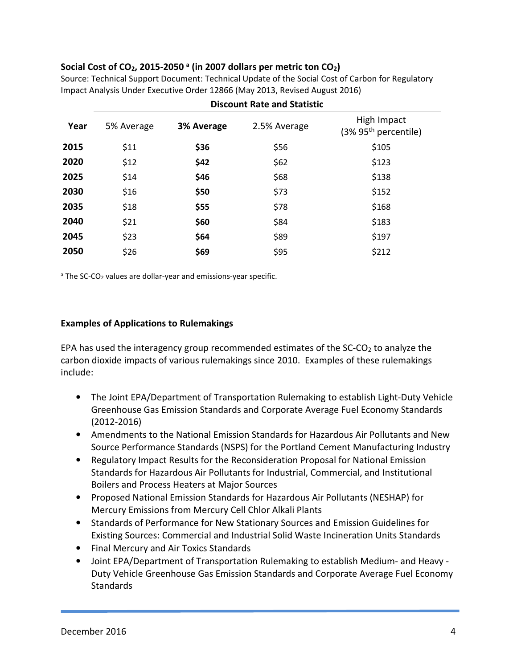# Social Cost of CO<sub>2</sub>, 2015-2050<sup>a</sup> (in 2007 dollars per metric ton CO<sub>2</sub>)

|      | <b>Discount Rate and Statistic</b> |            |              |                                                 |
|------|------------------------------------|------------|--------------|-------------------------------------------------|
| Year | 5% Average                         | 3% Average | 2.5% Average | High Impact<br>(3% 95 <sup>th</sup> percentile) |
| 2015 | \$11                               | \$36       | \$56         | \$105                                           |
| 2020 | \$12                               | \$42       | \$62         | \$123                                           |
| 2025 | \$14                               | \$46       | \$68         | \$138                                           |
| 2030 | \$16                               | \$50       | \$73         | \$152                                           |
| 2035 | \$18                               | \$55       | \$78         | \$168                                           |
| 2040 | \$21                               | \$60       | \$84         | \$183                                           |
| 2045 | \$23                               | \$64       | \$89         | \$197                                           |
| 2050 | \$26                               | \$69       | \$95         | \$212                                           |

Source: Technical Support Document: Technical Update of the Social Cost of Carbon for Regulatory Impact Analysis Under Executive Order 12866 (May 2013, Revised August 2016)

<sup>a</sup> The SC-CO<sub>2</sub> values are dollar-year and emissions-year specific.

#### Examples of Applications to Rulemakings

EPA has used the interagency group recommended estimates of the  $SC\text{-}CO<sub>2</sub>$  to analyze the carbon dioxide impacts of various rulemakings since 2010. Examples of these rulemakings include:

- The Joint EPA/Department of Transportation Rulemaking to establish Light-Duty Vehicle Greenhouse Gas Emission Standards and Corporate Average Fuel Economy Standards (2012-2016)
- Amendments to the National Emission Standards for Hazardous Air Pollutants and New Source Performance Standards (NSPS) for the Portland Cement Manufacturing Industry
- Regulatory Impact Results for the Reconsideration Proposal for National Emission Standards for Hazardous Air Pollutants for Industrial, Commercial, and Institutional Boilers and Process Heaters at Major Sources
- Proposed National Emission Standards for Hazardous Air Pollutants (NESHAP) for Mercury Emissions from Mercury Cell Chlor Alkali Plants
- Standards of Performance for New Stationary Sources and Emission Guidelines for Existing Sources: Commercial and Industrial Solid Waste Incineration Units Standards
- Final Mercury and Air Toxics Standards
- Joint EPA/Department of Transportation Rulemaking to establish Medium- and Heavy Duty Vehicle Greenhouse Gas Emission Standards and Corporate Average Fuel Economy **Standards**